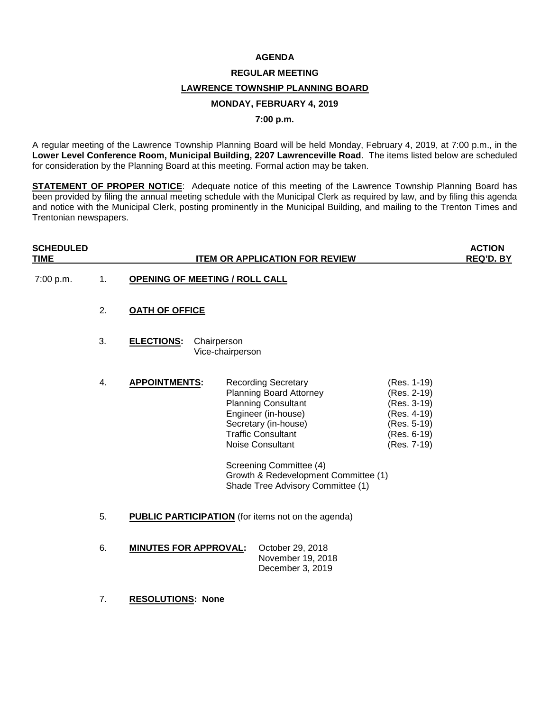#### **AGENDA**

## **REGULAR MEETING**

### **LAWRENCE TOWNSHIP PLANNING BOARD**

#### **MONDAY, FEBRUARY 4, 2019**

### **7:00 p.m.**

A regular meeting of the Lawrence Township Planning Board will be held Monday, February 4, 2019, at 7:00 p.m., in the **Lower Level Conference Room, Municipal Building, 2207 Lawrenceville Road**. The items listed below are scheduled for consideration by the Planning Board at this meeting. Formal action may be taken.

**STATEMENT OF PROPER NOTICE**: Adequate notice of this meeting of the Lawrence Township Planning Board has been provided by filing the annual meeting schedule with the Municipal Clerk as required by law, and by filing this agenda and notice with the Municipal Clerk, posting prominently in the Municipal Building, and mailing to the Trenton Times and Trentonian newspapers.

| <b>SCHEDULED</b><br><b>TIME</b> |                                                                 | <b>ITEM OR APPLICATION FOR REVIEW</b> |                                 |                                                                                                                                                                                                                                                                                                    |                                                                                                       | <b>ACTION</b><br>REQ'D. BY |
|---------------------------------|-----------------------------------------------------------------|---------------------------------------|---------------------------------|----------------------------------------------------------------------------------------------------------------------------------------------------------------------------------------------------------------------------------------------------------------------------------------------------|-------------------------------------------------------------------------------------------------------|----------------------------|
| 7:00 p.m.                       | 1.                                                              | <b>OPENING OF MEETING / ROLL CALL</b> |                                 |                                                                                                                                                                                                                                                                                                    |                                                                                                       |                            |
|                                 | 2.                                                              | <b>OATH OF OFFICE</b>                 |                                 |                                                                                                                                                                                                                                                                                                    |                                                                                                       |                            |
|                                 | 3.                                                              | <b>ELECTIONS:</b>                     | Chairperson<br>Vice-chairperson |                                                                                                                                                                                                                                                                                                    |                                                                                                       |                            |
|                                 | 4.                                                              | <b>APPOINTMENTS:</b>                  |                                 | <b>Recording Secretary</b><br><b>Planning Board Attorney</b><br><b>Planning Consultant</b><br>Engineer (in-house)<br>Secretary (in-house)<br><b>Traffic Consultant</b><br>Noise Consultant<br>Screening Committee (4)<br>Growth & Redevelopment Committee (1)<br>Shade Tree Advisory Committee (1) | (Res. 1-19)<br>(Res. 2-19)<br>(Res. 3-19)<br>(Res. 4-19)<br>(Res. 5-19)<br>(Res. 6-19)<br>(Res. 7-19) |                            |
|                                 | 5.<br><b>PUBLIC PARTICIPATION</b> (for items not on the agenda) |                                       |                                 |                                                                                                                                                                                                                                                                                                    |                                                                                                       |                            |
|                                 | 6.                                                              | <b>MINUTES FOR APPROVAL:</b>          |                                 | October 29, 2018<br>November 19, 2018<br>December 3, 2019                                                                                                                                                                                                                                          |                                                                                                       |                            |
|                                 | 7.                                                              | <b>RESOLUTIONS: None</b>              |                                 |                                                                                                                                                                                                                                                                                                    |                                                                                                       |                            |